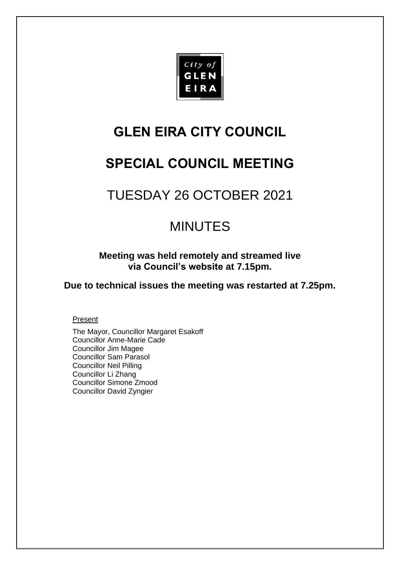

# **GLEN EIRA CITY COUNCIL**

# **SPECIAL COUNCIL MEETING**

# TUESDAY 26 OCTOBER 2021

# MINUTES

**Meeting was held remotely and streamed live via Council's website at 7.15pm.** 

**Due to technical issues the meeting was restarted at 7.25pm.**

# Present

The Mayor, Councillor Margaret Esakoff Councillor Anne-Marie Cade Councillor Jim Magee Councillor Sam Parasol Councillor Neil Pilling Councillor Li Zhang Councillor Simone Zmood Councillor David Zyngier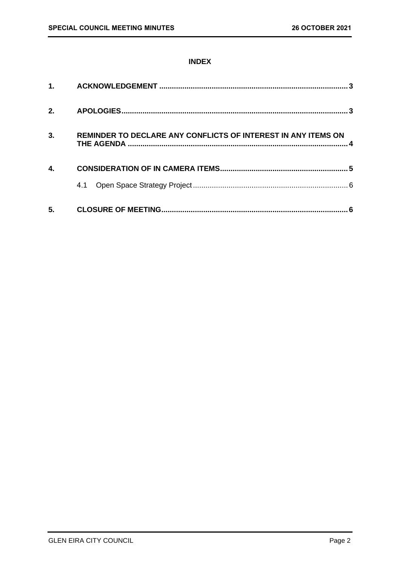# **INDEX**

| $\mathbf 1$ . |                                                               |  |
|---------------|---------------------------------------------------------------|--|
| 2.            |                                                               |  |
| 3.            | REMINDER TO DECLARE ANY CONFLICTS OF INTEREST IN ANY ITEMS ON |  |
| 4.            |                                                               |  |
|               | 4.1                                                           |  |
| 5.            |                                                               |  |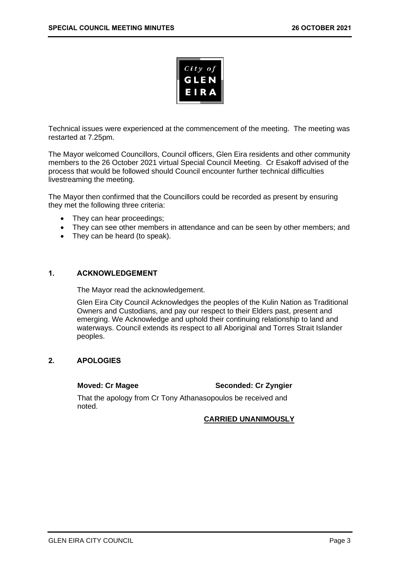

Technical issues were experienced at the commencement of the meeting. The meeting was restarted at 7.25pm.

The Mayor welcomed Councillors, Council officers, Glen Eira residents and other community members to the 26 October 2021 virtual Special Council Meeting. Cr Esakoff advised of the process that would be followed should Council encounter further technical difficulties livestreaming the meeting.

The Mayor then confirmed that the Councillors could be recorded as present by ensuring they met the following three criteria:

- They can hear proceedings;
- They can see other members in attendance and can be seen by other members; and
- They can be heard (to speak).

#### <span id="page-2-0"></span>**1. ACKNOWLEDGEMENT**

The Mayor read the acknowledgement.

Glen Eira City Council Acknowledges the peoples of the Kulin Nation as Traditional Owners and Custodians, and pay our respect to their Elders past, present and emerging. We Acknowledge and uphold their continuing relationship to land and waterways. Council extends its respect to all Aboriginal and Torres Strait Islander peoples.

#### <span id="page-2-1"></span>**2. APOLOGIES**

#### **Moved: Cr Magee Seconded: Cr Zyngier**

That the apology from Cr Tony Athanasopoulos be received and noted.

#### **CARRIED UNANIMOUSLY**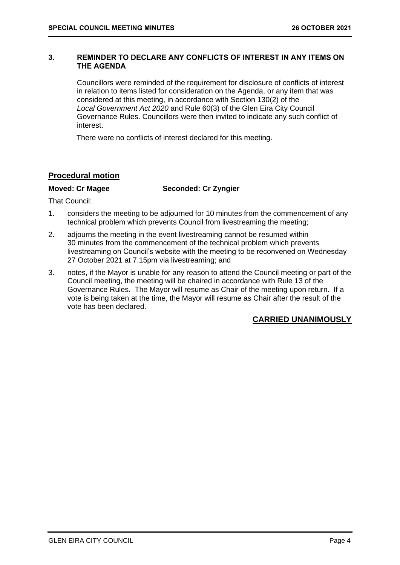#### <span id="page-3-0"></span>**3. REMINDER TO DECLARE ANY CONFLICTS OF INTEREST IN ANY ITEMS ON THE AGENDA**

Councillors were reminded of the requirement for disclosure of conflicts of interest in relation to items listed for consideration on the Agenda, or any item that was considered at this meeting, in accordance with Section 130(2) of the *Local Government Act 2020* and Rule 60(3) of the Glen Eira City Council Governance Rules. Councillors were then invited to indicate any such conflict of interest.

There were no conflicts of interest declared for this meeting.

### **Procedural motion**

#### **Moved: Cr Magee Seconded: Cr Zyngier**

That Council:

- 1. considers the meeting to be adjourned for 10 minutes from the commencement of any technical problem which prevents Council from livestreaming the meeting;
- 2. adjourns the meeting in the event livestreaming cannot be resumed within 30 minutes from the commencement of the technical problem which prevents livestreaming on Council's website with the meeting to be reconvened on Wednesday 27 October 2021 at 7.15pm via livestreaming; and
- 3. notes, if the Mayor is unable for any reason to attend the Council meeting or part of the Council meeting, the meeting will be chaired in accordance with Rule 13 of the Governance Rules. The Mayor will resume as Chair of the meeting upon return. If a vote is being taken at the time, the Mayor will resume as Chair after the result of the vote has been declared.

# **CARRIED UNANIMOUSLY**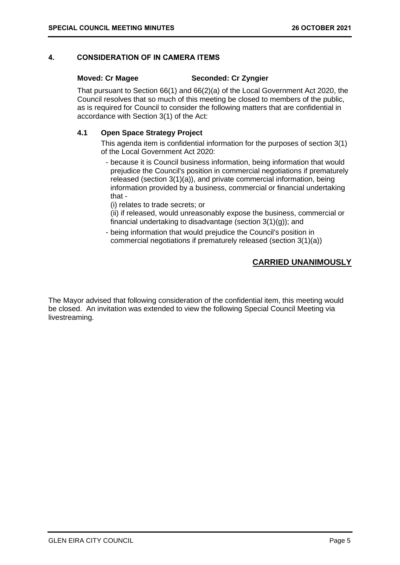### <span id="page-4-0"></span>**4. CONSIDERATION OF IN CAMERA ITEMS**

#### **Moved: Cr Magee Seconded: Cr Zyngier**

That pursuant to Section 66(1) and 66(2)(a) of the Local Government Act 2020, the Council resolves that so much of this meeting be closed to members of the public, as is required for Council to consider the following matters that are confidential in accordance with Section 3(1) of the Act:

#### **4.1 Open Space Strategy Project**

This agenda item is confidential information for the purposes of section 3(1) of the Local Government Act 2020:

- because it is Council business information, being information that would prejudice the Council's position in commercial negotiations if prematurely released (section 3(1)(a)), and private commercial information, being information provided by a business, commercial or financial undertaking that -

(i) relates to trade secrets; or

(ii) if released, would unreasonably expose the business, commercial or financial undertaking to disadvantage (section  $3(1)(q)$ ); and

- being information that would prejudice the Council's position in commercial negotiations if prematurely released (section 3(1)(a))

# **CARRIED UNANIMOUSLY**

The Mayor advised that following consideration of the confidential item, this meeting would be closed. An invitation was extended to view the following Special Council Meeting via livestreaming.